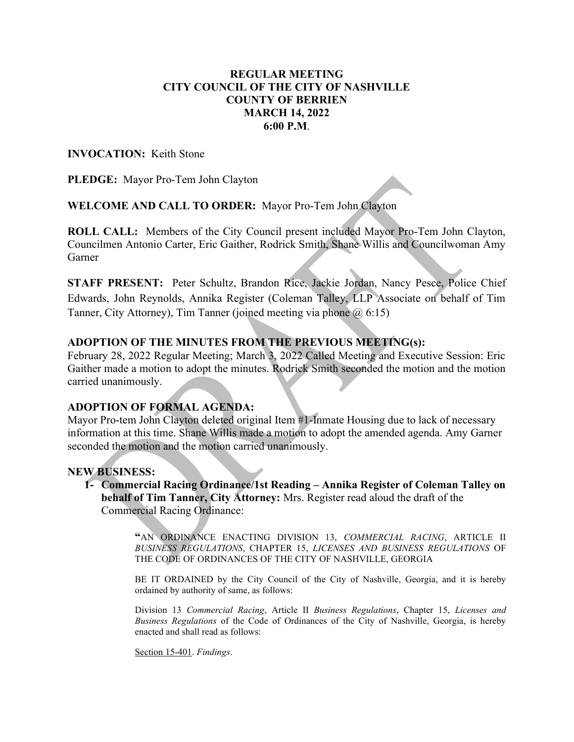### REGULAR MEETING CITY COUNCIL OF THE CITY OF NASHVILLE COUNTY OF BERRIEN MARCH 14, 2022 6:00 P.M.

### INVOCATION: Keith Stone

PLEDGE: Mayor Pro-Tem John Clayton

WELCOME AND CALL TO ORDER: Mayor Pro-Tem John Clayton

ROLL CALL: Members of the City Council present included Mayor Pro-Tem John Clayton, Councilmen Antonio Carter, Eric Gaither, Rodrick Smith, Shane Willis and Councilwoman Amy Garner

STAFF PRESENT: Peter Schultz, Brandon Rice, Jackie Jordan, Nancy Pesce, Police Chief Edwards, John Reynolds, Annika Register (Coleman Talley, LLP Associate on behalf of Tim Tanner, City Attorney), Tim Tanner (joined meeting via phone @ 6:15)

### ADOPTION OF THE MINUTES FROM THE PREVIOUS MEETING(s):

February 28, 2022 Regular Meeting; March 3, 2022 Called Meeting and Executive Session: Eric Gaither made a motion to adopt the minutes. Rodrick Smith seconded the motion and the motion carried unanimously.

### ADOPTION OF FORMAL AGENDA:

Mayor Pro-tem John Clayton deleted original Item #1-Inmate Housing due to lack of necessary information at this time. Shane Willis made a motion to adopt the amended agenda. Amy Garner seconded the motion and the motion carried unanimously.

### NEW BUSINESS:

1- Commercial Racing Ordinance/1st Reading – Annika Register of Coleman Talley on behalf of Tim Tanner, City Attorney: Mrs. Register read aloud the draft of the Commercial Racing Ordinance:

> "AN ORDINANCE ENACTING DIVISION 13, COMMERCIAL RACING, ARTICLE II BUSINESS REGULATIONS, CHAPTER 15, LICENSES AND BUSINESS REGULATIONS OF THE CODE OF ORDINANCES OF THE CITY OF NASHVILLE, GEORGIA

> BE IT ORDAINED by the City Council of the City of Nashville, Georgia, and it is hereby ordained by authority of same, as follows:

> Division 13 Commercial Racing, Article II Business Regulations, Chapter 15, Licenses and Business Regulations of the Code of Ordinances of the City of Nashville, Georgia, is hereby enacted and shall read as follows:

Section 15-401. Findings.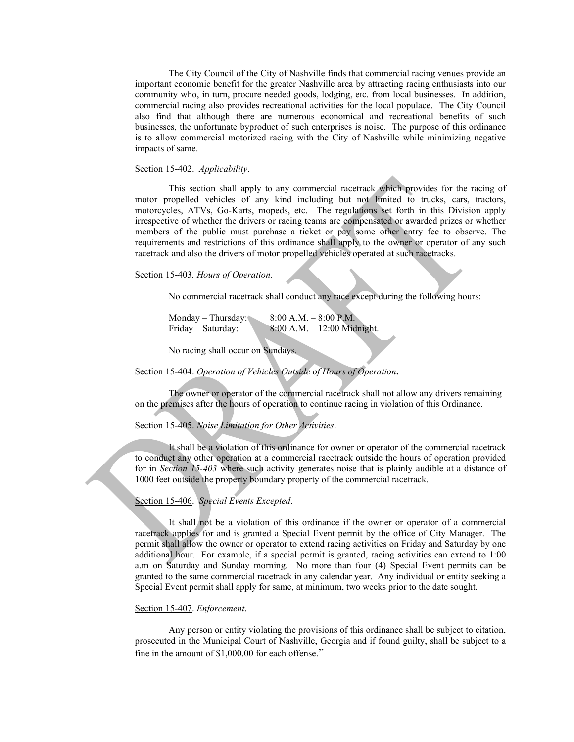The City Council of the City of Nashville finds that commercial racing venues provide an important economic benefit for the greater Nashville area by attracting racing enthusiasts into our community who, in turn, procure needed goods, lodging, etc. from local businesses. In addition, commercial racing also provides recreational activities for the local populace. The City Council also find that although there are numerous economical and recreational benefits of such businesses, the unfortunate byproduct of such enterprises is noise. The purpose of this ordinance is to allow commercial motorized racing with the City of Nashville while minimizing negative impacts of same.

#### Section 15-402. Applicability.

This section shall apply to any commercial racetrack which provides for the racing of motor propelled vehicles of any kind including but not limited to trucks, cars, tractors, motorcycles, ATVs, Go-Karts, mopeds, etc. The regulations set forth in this Division apply irrespective of whether the drivers or racing teams are compensated or awarded prizes or whether members of the public must purchase a ticket or pay some other entry fee to observe. The requirements and restrictions of this ordinance shall apply to the owner or operator of any such racetrack and also the drivers of motor propelled vehicles operated at such racetracks.

#### Section 15-403. Hours of Operation.

No commercial racetrack shall conduct any race except during the following hours:

| $Monday - Thursday$ : | $8:00$ A.M. $-8:00$ P.M.       |
|-----------------------|--------------------------------|
| Friday – Saturday:    | $8:00$ A.M. $-12:00$ Midnight. |

No racing shall occur on Sundays.

### Section 15-404. Operation of Vehicles Outside of Hours of Operation.

The owner or operator of the commercial racetrack shall not allow any drivers remaining on the premises after the hours of operation to continue racing in violation of this Ordinance.

#### Section 15-405. Noise Limitation for Other Activities.

It shall be a violation of this ordinance for owner or operator of the commercial racetrack to conduct any other operation at a commercial racetrack outside the hours of operation provided for in Section 15-403 where such activity generates noise that is plainly audible at a distance of 1000 feet outside the property boundary property of the commercial racetrack.

### Section 15-406. Special Events Excepted.

J

 It shall not be a violation of this ordinance if the owner or operator of a commercial racetrack applies for and is granted a Special Event permit by the office of City Manager. The permit shall allow the owner or operator to extend racing activities on Friday and Saturday by one additional hour. For example, if a special permit is granted, racing activities can extend to 1:00 a.m on Saturday and Sunday morning. No more than four (4) Special Event permits can be granted to the same commercial racetrack in any calendar year. Any individual or entity seeking a Special Event permit shall apply for same, at minimum, two weeks prior to the date sought.

#### Section 15-407. Enforcement.

 Any person or entity violating the provisions of this ordinance shall be subject to citation, prosecuted in the Municipal Court of Nashville, Georgia and if found guilty, shall be subject to a fine in the amount of \$1,000.00 for each offense."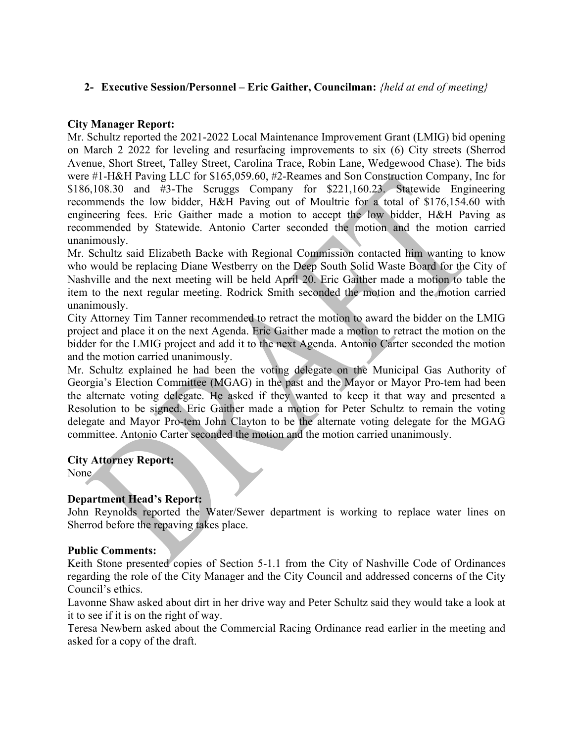# 2- Executive Session/Personnel – Eric Gaither, Councilman: *{held at end of meeting}*

### City Manager Report:

Mr. Schultz reported the 2021-2022 Local Maintenance Improvement Grant (LMIG) bid opening on March 2 2022 for leveling and resurfacing improvements to six (6) City streets (Sherrod Avenue, Short Street, Talley Street, Carolina Trace, Robin Lane, Wedgewood Chase). The bids were #1-H&H Paving LLC for \$165,059.60, #2-Reames and Son Construction Company, Inc for \$186,108.30 and #3-The Scruggs Company for \$221,160.23. Statewide Engineering recommends the low bidder, H&H Paving out of Moultrie for a total of \$176,154.60 with engineering fees. Eric Gaither made a motion to accept the low bidder, H&H Paving as recommended by Statewide. Antonio Carter seconded the motion and the motion carried unanimously.

Mr. Schultz said Elizabeth Backe with Regional Commission contacted him wanting to know who would be replacing Diane Westberry on the Deep South Solid Waste Board for the City of Nashville and the next meeting will be held April 20. Eric Gaither made a motion to table the item to the next regular meeting. Rodrick Smith seconded the motion and the motion carried unanimously.

City Attorney Tim Tanner recommended to retract the motion to award the bidder on the LMIG project and place it on the next Agenda. Eric Gaither made a motion to retract the motion on the bidder for the LMIG project and add it to the next Agenda. Antonio Carter seconded the motion and the motion carried unanimously.

Mr. Schultz explained he had been the voting delegate on the Municipal Gas Authority of Georgia's Election Committee (MGAG) in the past and the Mayor or Mayor Pro-tem had been the alternate voting delegate. He asked if they wanted to keep it that way and presented a Resolution to be signed. Eric Gaither made a motion for Peter Schultz to remain the voting delegate and Mayor Pro-tem John Clayton to be the alternate voting delegate for the MGAG committee. Antonio Carter seconded the motion and the motion carried unanimously.

# City Attorney Report:

None

# Department Head's Report:

John Reynolds reported the Water/Sewer department is working to replace water lines on Sherrod before the repaving takes place.

# Public Comments:

Keith Stone presented copies of Section 5-1.1 from the City of Nashville Code of Ordinances regarding the role of the City Manager and the City Council and addressed concerns of the City Council's ethics.

Lavonne Shaw asked about dirt in her drive way and Peter Schultz said they would take a look at it to see if it is on the right of way.

Teresa Newbern asked about the Commercial Racing Ordinance read earlier in the meeting and asked for a copy of the draft.